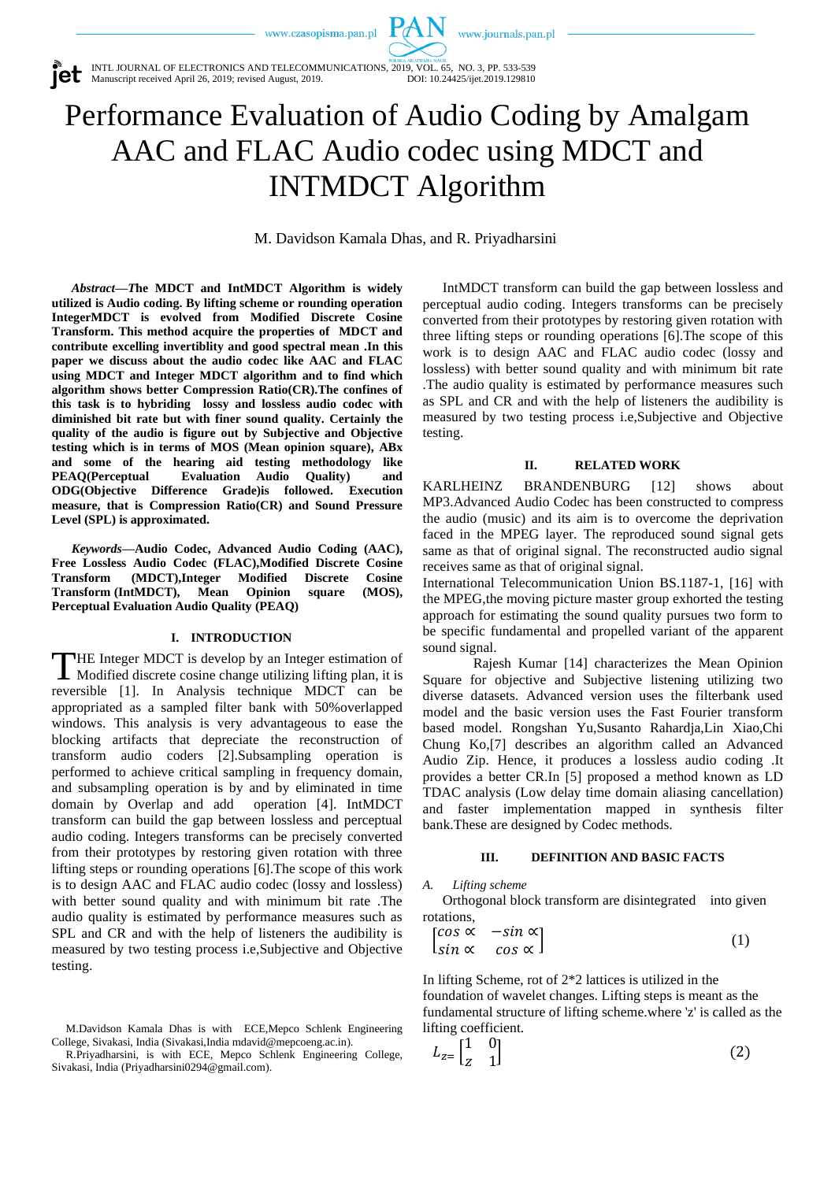www.journals.pan.pl



# Performance Evaluation of Audio Coding by Amalgam AAC and FLAC Audio codec using MDCT and INTMDCT Algorithm

PAN

M. Davidson Kamala Dhas, and R. Priyadharsini

*Abstract—T***he MDCT and IntMDCT Algorithm is widely utilized is Audio coding. By lifting scheme or rounding operation IntegerMDCT is evolved from Modified Discrete Cosine Transform. This method acquire the properties of MDCT and contribute excelling invertiblity and good spectral mean .In this paper we discuss about the audio codec like AAC and FLAC using MDCT and Integer MDCT algorithm and to find which algorithm shows better Compression Ratio(CR).The confines of this task is to hybriding lossy and lossless audio codec with diminished bit rate but with finer sound quality. Certainly the quality of the audio is figure out by Subjective and Objective testing which is in terms of MOS (Mean opinion square), ABx and some of the hearing aid testing methodology like PEAQ(Perceptual Evaluation Audio Quality) and ODG(Objective Difference Grade)is followed. Execution measure, that is Compression Ratio(CR) and Sound Pressure Level (SPL) is approximated.**

*Keywords—***Audio Codec, Advanced Audio Coding (AAC), Free Lossless Audio Codec (FLAC),Modified Discrete Cosine Transform (MDCT),Integer Modified Discrete Cosine Transform (IntMDCT), Mean Opinion square (MOS), Perceptual Evaluation Audio Quality (PEAQ)**

#### **I. INTRODUCTION**

THE Integer MDCT is develop by an Integer estimation of Modified discrete cosine change utilizing lifting plan, it is Modified discrete cosine change utilizing lifting plan, it is reversible [1]. In Analysis technique MDCT can be appropriated as a sampled filter bank with 50%overlapped windows. This analysis is very advantageous to ease the blocking artifacts that depreciate the reconstruction of transform audio coders [2].Subsampling operation is performed to achieve critical sampling in frequency domain, and subsampling operation is by and by eliminated in time domain by Overlap and add operation [4]. IntMDCT transform can build the gap between lossless and perceptual audio coding. Integers transforms can be precisely converted from their prototypes by restoring given rotation with three lifting steps or rounding operations [6].The scope of this work is to design AAC and FLAC audio codec (lossy and lossless) with better sound quality and with minimum bit rate .The audio quality is estimated by performance measures such as SPL and CR and with the help of listeners the audibility is measured by two testing process i.e,Subjective and Objective testing.

IntMDCT transform can build the gap between lossless and perceptual audio coding. Integers transforms can be precisely converted from their prototypes by restoring given rotation with three lifting steps or rounding operations [6].The scope of this work is to design AAC and FLAC audio codec (lossy and lossless) with better sound quality and with minimum bit rate .The audio quality is estimated by performance measures such as SPL and CR and with the help of listeners the audibility is measured by two testing process i.e,Subjective and Objective testing.

#### **II. RELATED WORK**

KARLHEINZ BRANDENBURG [12] shows about MP3.Advanced Audio Codec has been constructed to compress the audio (music) and its aim is to overcome the deprivation faced in the MPEG layer. The reproduced sound signal gets same as that of original signal. The reconstructed audio signal receives same as that of original signal.

International Telecommunication Union BS.1187-1, [16] with the MPEG,the moving picture master group exhorted the testing approach for estimating the sound quality pursues two form to be specific fundamental and propelled variant of the apparent sound signal.

Rajesh Kumar [14] characterizes the Mean Opinion Square for objective and Subjective listening utilizing two diverse datasets. Advanced version uses the filterbank used model and the basic version uses the Fast Fourier transform based model. Rongshan Yu,Susanto Rahardja,Lin Xiao,Chi Chung Ko,[7] describes an algorithm called an Advanced Audio Zip. Hence, it produces a lossless audio coding .It provides a better CR.In [5] proposed a method known as LD TDAC analysis (Low delay time domain aliasing cancellation) and faster implementation mapped in synthesis filter bank.These are designed by Codec methods.

#### **III. DEFINITION AND BASIC FACTS**

*A. Lifting scheme*

Orthogonal block transform are disintegrated into given rotations,

$$
\begin{bmatrix}\n\cos \alpha & -\sin \alpha \\
\sin \alpha & \cos \alpha\n\end{bmatrix}
$$
\n(1)

In lifting Scheme, rot of 2\*2 lattices is utilized in the foundation of wavelet changes. Lifting steps is meant as the fundamental structure of lifting scheme.where 'z' is called as the lifting coefficient.

$$
L_{z} = \begin{bmatrix} 1 & 0 \\ z & 1 \end{bmatrix} \tag{2}
$$

M.Davidson Kamala Dhas is with ECE,Mepco Schlenk Engineering College, Sivakasi, India (Sivakasi,India mdavid@mepcoeng.ac.in).

R.Priyadharsini, is with ECE, Mepco Schlenk Engineering College, Sivakasi, India (Priyadharsini0294@gmail.com).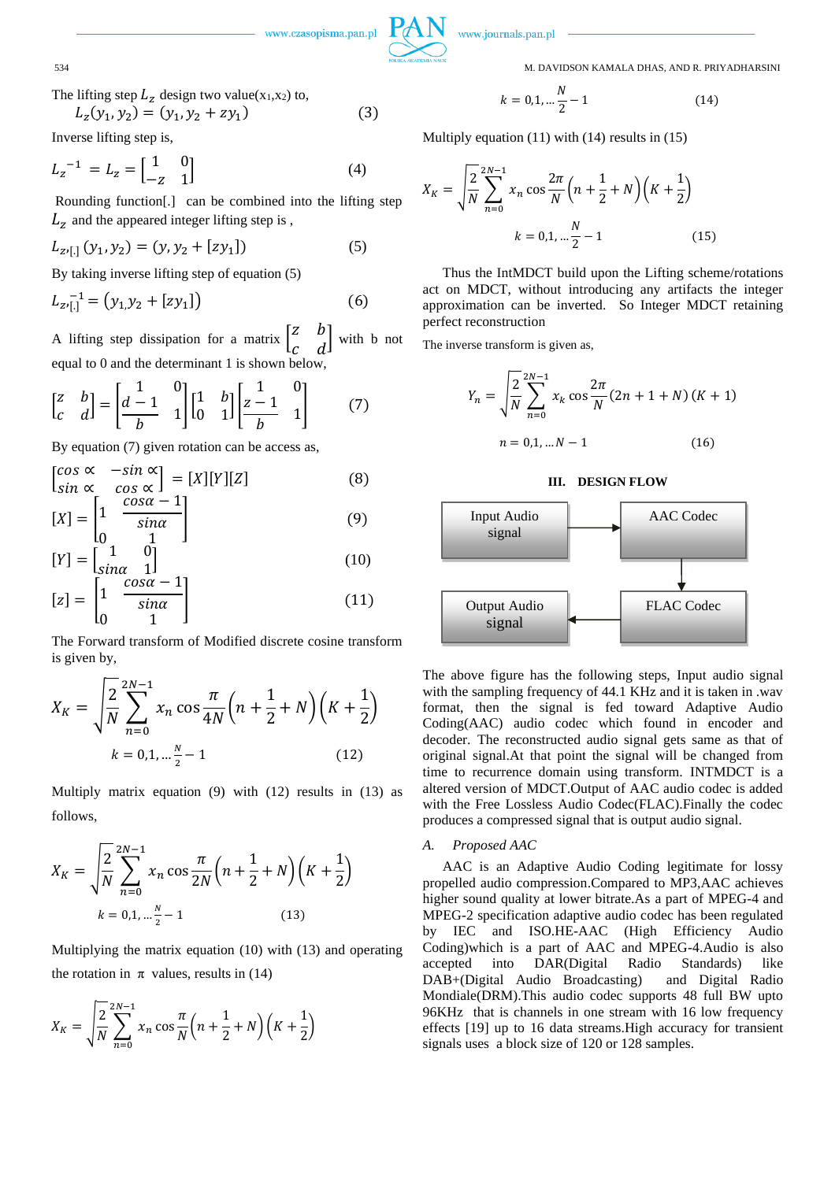

) (3)

www.czasopisma.pan.pl

www.journals.pan.pl

534 M. DAVIDSON KAMALA DHAS, AND R. PRIYADHARSINI

The lifting step 
$$
L_z
$$
 design two value( $x_1, x_2$ ) to,  

$$
L_z(y_1, y_2) = (y_1, y_2 + zy_1)
$$

Inverse lifting step is,

$$
L_z^{-1} = L_z = \begin{bmatrix} 1 & 0 \\ -z & 1 \end{bmatrix}
$$
 (4)

Rounding function[.] can be combined into the lifting step  $L_z$  and the appeared integer lifting step is,

$$
L_{z,[.]}(y_1, y_2) = (y, y_2 + [zy_1])
$$
\n(5)

By taking inverse lifting step of equation (5)

$$
L_{z}^{-1} = (y_1, y_2 + [zy_1])
$$
 (6)

A lifting step dissipation for a matrix  $\begin{bmatrix} z & b \\ c & d \end{bmatrix}$  $\begin{bmatrix} a & b \\ c & d \end{bmatrix}$  with b not equal to 0 and the determinant 1 is shown below,

$$
\begin{bmatrix} z & b \\ c & d \end{bmatrix} = \begin{bmatrix} 1 & 0 \\ \frac{d-1}{b} & 1 \end{bmatrix} \begin{bmatrix} 1 & b \\ 0 & 1 \end{bmatrix} \begin{bmatrix} 1 & 0 \\ \frac{z-1}{b} & 1 \end{bmatrix}
$$
 (7)

By equation (7) given rotation can be access as,

$$
\begin{bmatrix}\n\cos \alpha & -\sin \alpha \\
\sin \alpha & \cos \alpha\n\end{bmatrix} = [X][Y][Z] \tag{8}
$$
\n
$$
\begin{bmatrix}\n\chi_1 = \begin{bmatrix}\n1 & \frac{\cos \alpha - 1}{\cos \alpha}\n\end{bmatrix}\n\end{bmatrix} \tag{9}
$$

$$
[X] = \begin{bmatrix} 1 & -\sin\alpha \\ 0 & 1 \end{bmatrix} \tag{9}
$$

$$
[Y] = \begin{bmatrix} 1 & 0 \\ \sin \alpha & 1 \end{bmatrix}
$$
 (10)

$$
[z] = \begin{bmatrix} 1 & -\frac{1}{\sin \alpha} \\ 0 & 1 \end{bmatrix} \tag{11}
$$

The Forward transform of Modified discrete cosine transform is given by,

$$
X_K = \sqrt{\frac{2}{N} \sum_{n=0}^{2N-1} x_n \cos \frac{\pi}{4N} \left(n + \frac{1}{2} + N\right) \left(K + \frac{1}{2}\right)}
$$
  
 
$$
k = 0, 1, \dots \frac{N}{2} - 1
$$
 (12)

Multiply matrix equation (9) with (12) results in (13) as follows,

$$
X_K = \sqrt{\frac{2}{N} \sum_{n=0}^{2N-1} x_n \cos \frac{\pi}{2N} \left( n + \frac{1}{2} + N \right) \left( K + \frac{1}{2} \right)}
$$
  

$$
k = 0, 1, \dots, \frac{N}{2} - 1
$$
 (13)

Multiplying the matrix equation (10) with (13) and operating the rotation in  $\pi$  values, results in (14)

$$
X_K = \sqrt{\frac{2}{N}} \sum_{n=0}^{2N-1} x_n \cos \frac{\pi}{N} \left( n + \frac{1}{2} + N \right) \left( K + \frac{1}{2} \right)
$$

$$
k = 0, 1, \dots \frac{N}{2} - 1 \tag{14}
$$

Multiply equation (11) with (14) results in (15)

$$
X_{K} = \sqrt{\frac{2}{N}} \sum_{n=0}^{2N-1} x_{n} \cos \frac{2\pi}{N} \left(n + \frac{1}{2} + N\right) \left(K + \frac{1}{2}\right)
$$

$$
k = 0, 1, \dots \frac{N}{2} - 1 \tag{15}
$$

Thus the IntMDCT build upon the Lifting scheme/rotations act on MDCT, without introducing any artifacts the integer approximation can be inverted. So Integer MDCT retaining perfect reconstruction

The inverse transform is given as,

$$
Y_n = \sqrt{\frac{2}{N}} \sum_{n=0}^{2N-1} x_k \cos \frac{2\pi}{N} (2n + 1 + N) (K + 1)
$$
  

$$
n = 0, 1, \dots N - 1
$$
 (16)

# **III. DESIGN FLOW**



The above figure has the following steps, Input audio signal with the sampling frequency of 44.1 KHz and it is taken in .wav format, then the signal is fed toward Adaptive Audio Coding(AAC) audio codec which found in encoder and decoder. The reconstructed audio signal gets same as that of original signal.At that point the signal will be changed from time to recurrence domain using transform. INTMDCT is a altered version of MDCT.Output of AAC audio codec is added with the Free Lossless Audio Codec(FLAC).Finally the codec produces a compressed signal that is output audio signal.

#### *A. Proposed AAC*

AAC is an Adaptive Audio Coding legitimate for lossy propelled audio compression.Compared to MP3,AAC achieves higher sound quality at lower bitrate.As a part of MPEG-4 and MPEG-2 specification adaptive audio codec has been regulated by IEC and ISO.HE-AAC (High Efficiency Audio Coding)which is a part of AAC and MPEG-4.Audio is also accepted into DAR(Digital Radio Standards) like DAB+(Digital Audio Broadcasting) and Digital Radio Mondiale(DRM).This audio codec supports 48 full BW upto 96KHz that is channels in one stream with 16 low frequency effects [19] up to 16 data streams.High accuracy for transient signals uses a block size of 120 or 128 samples.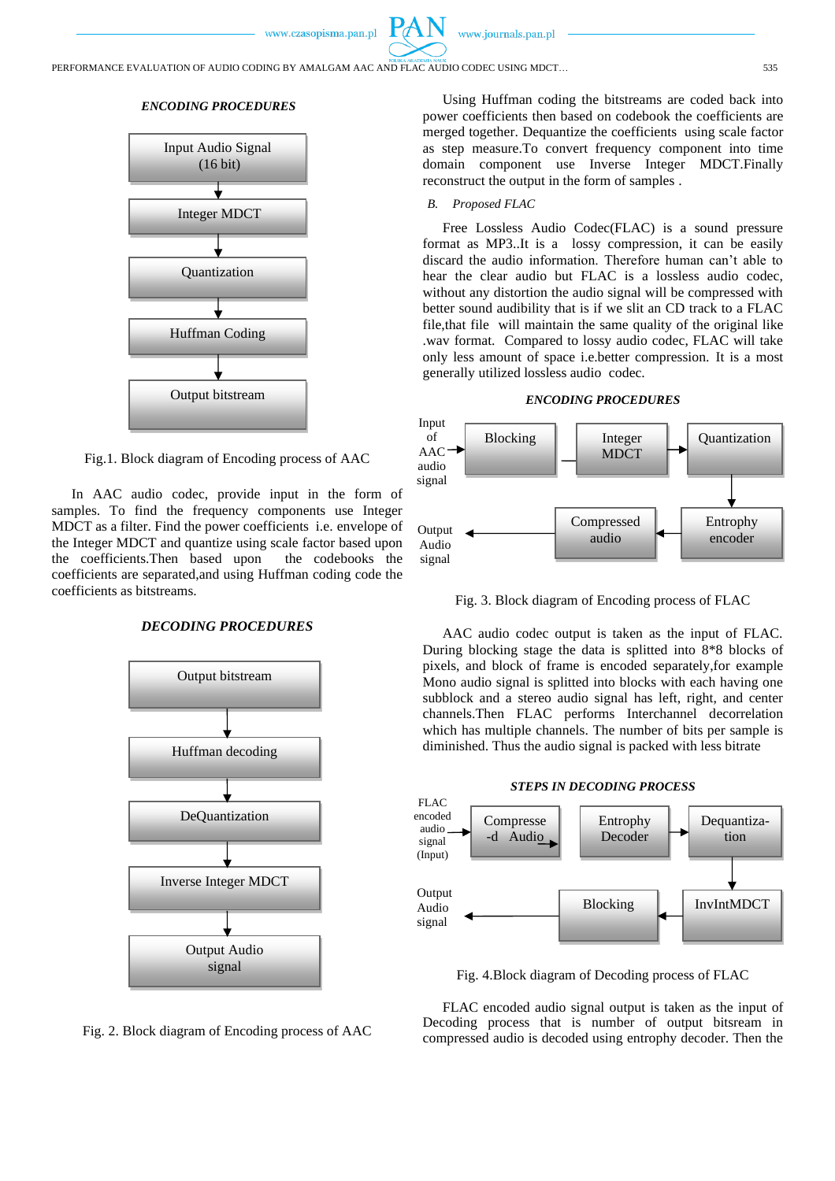www.journals.pan.pl

# *ENCODING PROCEDURES*



Fig.1. Block diagram of Encoding process of AAC

In AAC audio codec, provide input in the form of samples. To find the frequency components use Integer MDCT as a filter. Find the power coefficients i.e. envelope of the Integer MDCT and quantize using scale factor based upon the coefficients.Then based upon the codebooks the coefficients are separated,and using Huffman coding code the coefficients as bitstreams.

# *DECODING PROCEDURES*



Fig. 2. Block diagram of Encoding process of AAC

Using Huffman coding the bitstreams are coded back into power coefficients then based on codebook the coefficients are merged together. Dequantize the coefficients using scale factor as step measure.To convert frequency component into time domain component use Inverse Integer MDCT.Finally reconstruct the output in the form of samples .

#### *B. Proposed FLAC*

Free Lossless Audio Codec(FLAC) is a sound pressure format as MP3..It is a lossy compression, it can be easily discard the audio information. Therefore human can't able to hear the clear audio but FLAC is a lossless audio codec, without any distortion the audio signal will be compressed with better sound audibility that is if we slit an CD track to a FLAC file,that file will maintain the same quality of the original like .wav format. Compared to lossy audio codec, FLAC will take only less amount of space i.e.better compression. It is a most generally utilized lossless audio codec.





Fig. 3. Block diagram of Encoding process of FLAC

AAC audio codec output is taken as the input of FLAC. During blocking stage the data is splitted into 8\*8 blocks of pixels, and block of frame is encoded separately,for example Mono audio signal is splitted into blocks with each having one subblock and a stereo audio signal has left, right, and center channels.Then FLAC performs Interchannel decorrelation which has multiple channels. The number of bits per sample is diminished. Thus the audio signal is packed with less bitrate



Fig. 4.Block diagram of Decoding process of FLAC

FLAC encoded audio signal output is taken as the input of Decoding process that is number of output bitsream in compressed audio is decoded using entrophy decoder. Then the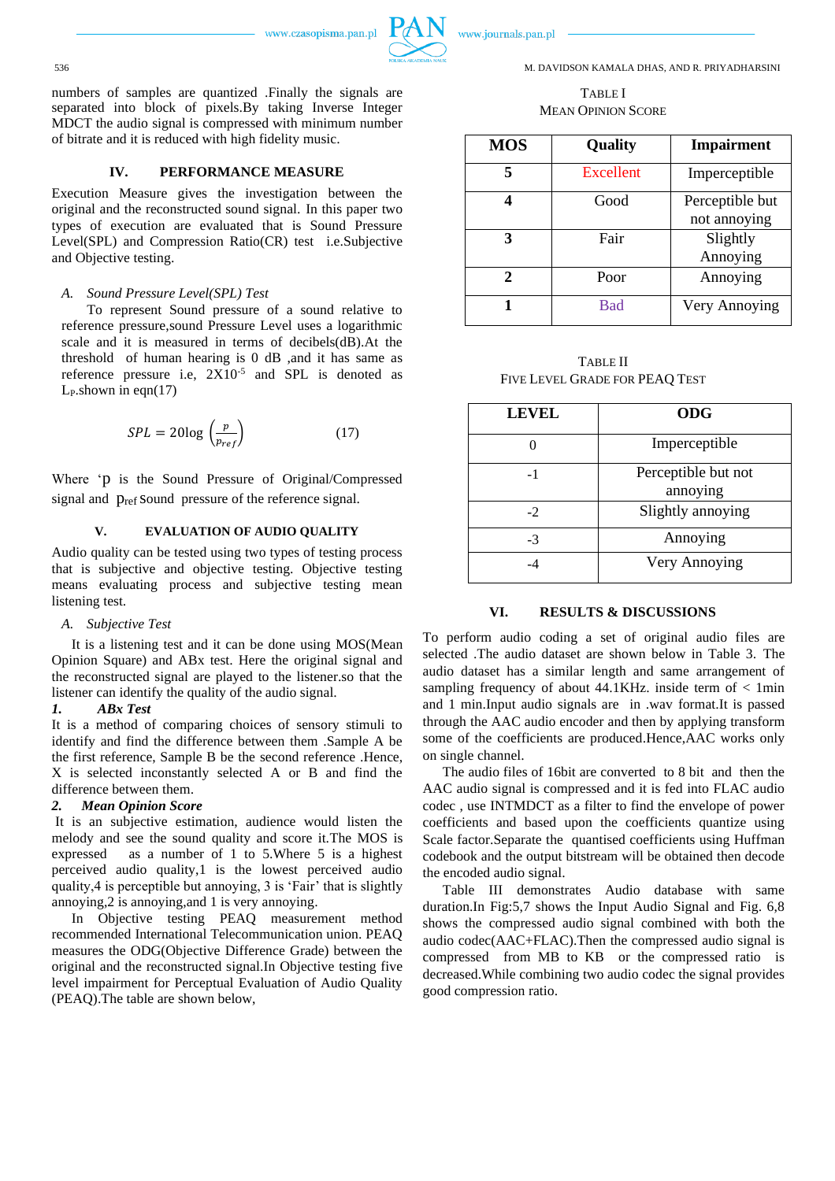

www.journals.pan.pl

536 M. DAVIDSON KAMALA DHAS, AND R. PRIYADHARSINI

# TABLE I MEAN OPINION SCORE

| <b>MOS</b> | Quality    | <b>Impairment</b>               |
|------------|------------|---------------------------------|
|            | Excellent  | Imperceptible                   |
|            | Good       | Perceptible but<br>not annoying |
| 3          |            |                                 |
|            | Fair       | Slightly                        |
|            |            | Annoying                        |
| 2          | Poor       | Annoying                        |
|            | <b>Bad</b> | Very Annoying                   |

TABLE II FIVE LEVEL GRADE FOR PEAQ TEST

| <b>LEVEL</b> | <b>ODG</b>                      |
|--------------|---------------------------------|
|              | Imperceptible                   |
| $-1$         | Perceptible but not<br>annoying |
| $-2$         | Slightly annoying               |
| -3           | Annoying                        |
|              | Very Annoying                   |

# **VI. RESULTS & DISCUSSIONS**

To perform audio coding a set of original audio files are selected .The audio dataset are shown below in Table 3. The audio dataset has a similar length and same arrangement of sampling frequency of about  $44.1KHz$ . inside term of  $\lt 1min$ and 1 min.Input audio signals are in .wav format.It is passed through the AAC audio encoder and then by applying transform some of the coefficients are produced.Hence,AAC works only on single channel.

The audio files of 16bit are converted to 8 bit and then the AAC audio signal is compressed and it is fed into FLAC audio codec , use INTMDCT as a filter to find the envelope of power coefficients and based upon the coefficients quantize using Scale factor.Separate the quantised coefficients using Huffman codebook and the output bitstream will be obtained then decode the encoded audio signal.

Table III demonstrates Audio database with same duration.In Fig:5,7 shows the Input Audio Signal and Fig. 6,8 shows the compressed audio signal combined with both the audio codec(AAC+FLAC).Then the compressed audio signal is compressed from MB to KB or the compressed ratio is decreased.While combining two audio codec the signal provides good compression ratio.

numbers of samples are quantized .Finally the signals are separated into block of pixels.By taking Inverse Integer MDCT the audio signal is compressed with minimum number of bitrate and it is reduced with high fidelity music.

# **IV. PERFORMANCE MEASURE**

Execution Measure gives the investigation between the original and the reconstructed sound signal. In this paper two types of execution are evaluated that is Sound Pressure Level(SPL) and Compression Ratio(CR) test i.e.Subjective and Objective testing.

#### *A. Sound Pressure Level(SPL) Test*

To represent Sound pressure of a sound relative to reference pressure,sound Pressure Level uses a logarithmic scale and it is measured in terms of decibels(dB).At the threshold of human hearing is 0 dB ,and it has same as reference pressure i.e,  $2X10^{-5}$  and SPL is denoted as  $L_P$ .shown in eqn $(17)$ 

$$
SPL = 20\log\left(\frac{p}{p_{ref}}\right) \tag{17}
$$

Where 'p is the Sound Pressure of Original/Compressed signal and  $p_{ref}$  sound pressure of the reference signal.

#### **V. EVALUATION OF AUDIO QUALITY**

Audio quality can be tested using two types of testing process that is subjective and objective testing. Objective testing means evaluating process and subjective testing mean listening test.

#### *A. Subjective Test*

It is a listening test and it can be done using MOS(Mean Opinion Square) and ABx test. Here the original signal and the reconstructed signal are played to the listener.so that the listener can identify the quality of the audio signal.

#### *1. ABx Test*

It is a method of comparing choices of sensory stimuli to identify and find the difference between them .Sample A be the first reference, Sample B be the second reference .Hence, X is selected inconstantly selected A or B and find the difference between them.

# *2. Mean Opinion Score*

It is an subjective estimation, audience would listen the melody and see the sound quality and score it.The MOS is expressed as a number of 1 to 5.Where 5 is a highest perceived audio quality,1 is the lowest perceived audio quality,4 is perceptible but annoying, 3 is 'Fair' that is slightly annoying,2 is annoying,and 1 is very annoying.

In Objective testing PEAQ measurement method recommended International Telecommunication union. PEAQ measures the ODG(Objective Difference Grade) between the original and the reconstructed signal.In Objective testing five level impairment for Perceptual Evaluation of Audio Quality (PEAQ).The table are shown below,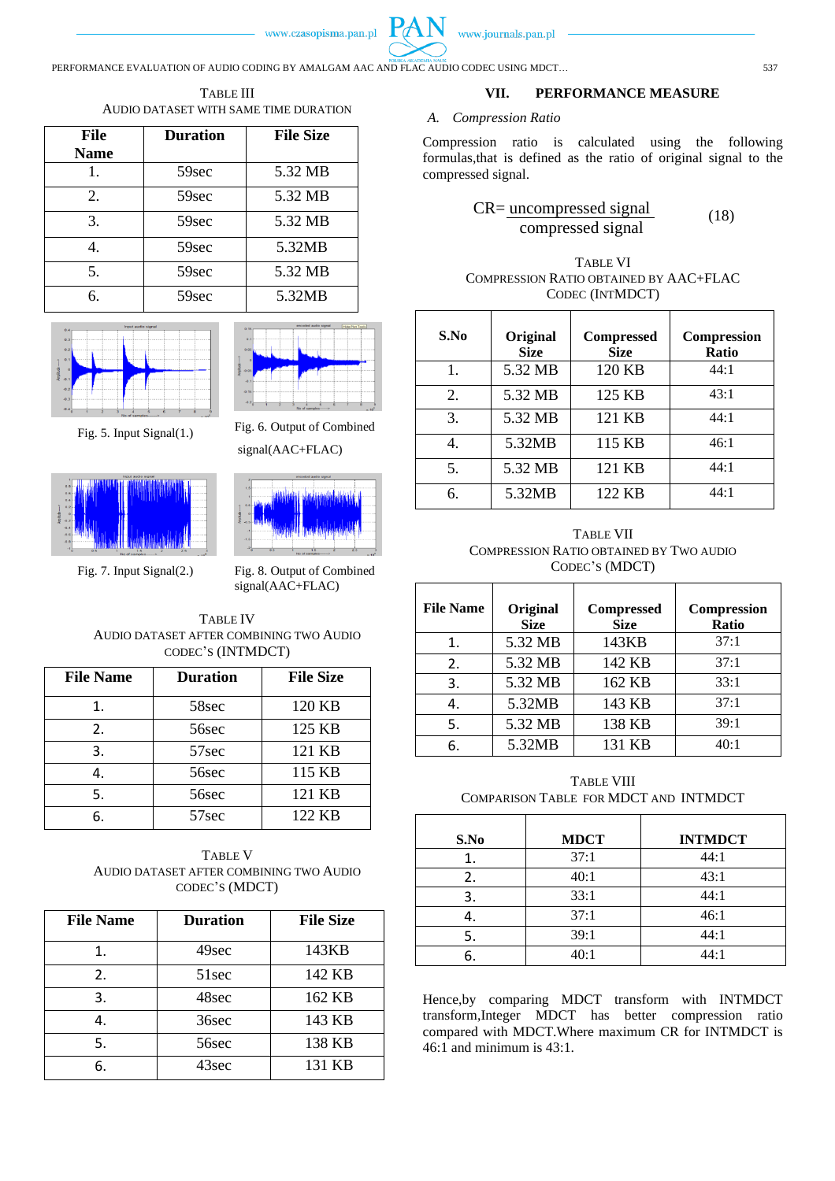

PERFORMANCE EVALUATION OF AUDIO CODING BY AMALGAM AAC AND FLAC AUDIO CODEC USING MDCT... 537

TABLE III AUDIO DATASET WITH SAME TIME DURATION

| <b>File</b> | <b>Duration</b> | <b>File Size</b> |
|-------------|-----------------|------------------|
| <b>Name</b> |                 |                  |
|             | 59sec           | 5.32 MB          |
| 2.          | 59sec           | 5.32 MB          |
| 3.          | 59sec           | 5.32 MB          |
|             | 59sec           | 5.32MB           |
| 5.          | 59sec           | 5.32 MB          |
| б.          | 59sec           | 5.32MB           |





Fig. 5. Input Signal(1.) Fig. 6. Output of Combined



signal(AAC+FLAC)

Fig. 7. Input Signal(2.) Fig. 8. Output of Combined signal(AAC+FLAC)

TABLE IV AUDIO DATASET AFTER COMBINING TWO AUDIO CODEC'S (INTMDCT)

| <b>File Name</b> | <b>Duration</b> | <b>File Size</b> |
|------------------|-----------------|------------------|
|                  | 58sec           | 120 KB           |
| 2.               | 56sec           | 125 KB           |
| 3.               | 57sec           | 121 KB           |
| 4.               | 56sec           | 115 KB           |
| 5.               | 56sec           | 121 KB           |
| 6.               | 57sec           | 122 KB           |

TABLE V AUDIO DATASET AFTER COMBINING TWO AUDIO CODEC'S (MDCT)

| <b>File Name</b> | <b>Duration</b> | <b>File Size</b> |
|------------------|-----------------|------------------|
| 1.               | 49sec           | 143KB            |
| 2.               | 51sec           | 142 KB           |
| 3.               | 48sec           | 162 KB           |
| 4.               | 36sec           | 143 KB           |
| 5.               | 56sec           | 138 KB           |
| 6.               | 43sec           | 131 KB           |

# **VII. PERFORMANCE MEASURE**

# *A. Compression Ratio*

Compression ratio is calculated using the following formulas,that is defined as the ratio of original signal to the compressed signal.

$$
CR = \underbrace{\text{uncompressed signal}}_{\text{compressed signal}} \tag{18}
$$

| TABLE VI                               |
|----------------------------------------|
| COMPRESSION RATIO OBTAINED BY AAC+FLAC |
| CODEC (INTMDCT)                        |

| S.No | Original<br><b>Size</b> | <b>Compressed</b><br><b>Size</b> | <b>Compression</b><br><b>Ratio</b> |
|------|-------------------------|----------------------------------|------------------------------------|
|      | 5.32 MB                 | 120 KB                           | 44:1                               |
| 2.   | 5.32 MB                 | 125 KB                           | 43:1                               |
| 3.   | 5.32 MB                 | 121 KB                           | 44:1                               |
|      | 5.32MB                  | 115 KB                           | 46:1                               |
| 5.   | 5.32 MB                 | 121 KB                           | 44:1                               |
| б.   | 5.32MB                  | 122 KB                           | 44:1                               |

TABLE VII COMPRESSION RATIO OBTAINED BY TWO AUDIO CODEC'S (MDCT)

| <b>File Name</b> | Original<br><b>Size</b> | <b>Compressed</b><br><b>Size</b> | <b>Compression</b><br>Ratio |
|------------------|-------------------------|----------------------------------|-----------------------------|
| 1.               | 5.32 MB                 | 143KB                            | 37:1                        |
| 2.               | 5.32 MB                 | 142 KB                           | 37:1                        |
| 3.               | 5.32 MB                 | 162 KB                           | 33:1                        |
| 4.               | 5.32MB                  | 143 KB                           | 37:1                        |
| 5.               | 5.32 MB                 | 138 KB                           | 39:1                        |
| 6.               | 5.32MB                  | 131 KB                           | 40:1                        |

TABLE VIII COMPARISON TABLE FOR MDCT AND INTMDCT

| S.No | <b>MDCT</b> | <b>INTMDCT</b> |
|------|-------------|----------------|
|      | 37:1        | 44:1           |
| 2.   | 40:1        | 43:1           |
| 3.   | 33:1        | 44:1           |
|      | 37:1        | 46:1           |
| 5.   | 39:1        | 44:1           |
|      | 40:1        | 44:1           |

Hence,by comparing MDCT transform with INTMDCT transform,Integer MDCT has better compression ratio compared with MDCT.Where maximum CR for INTMDCT is 46:1 and minimum is 43:1.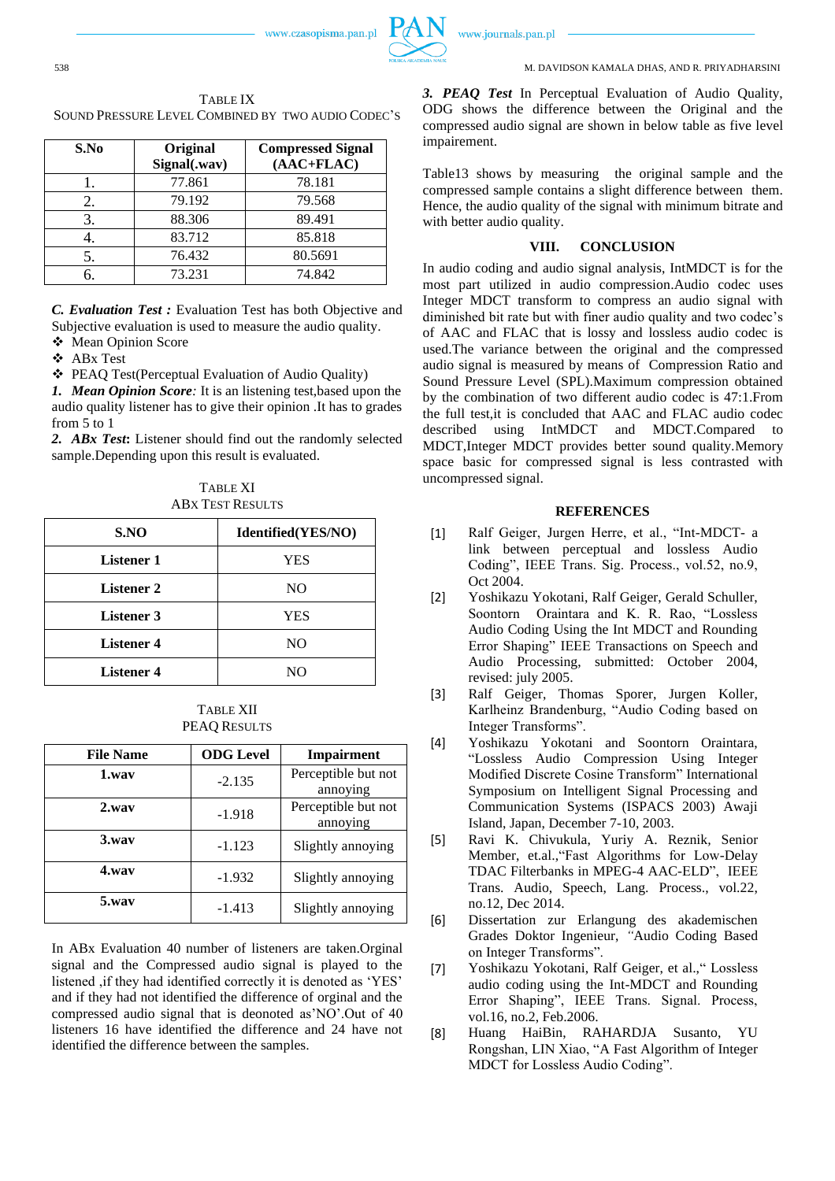



| S.No | Original<br>Signal(.wav) | <b>Compressed Signal</b><br>$(AAC+FLAC)$ |
|------|--------------------------|------------------------------------------|
|      | 77.861                   | 78.181                                   |
|      | 79.192                   | 79.568                                   |
| 3.   | 88.306                   | 89.491                                   |
|      | 83.712                   | 85.818                                   |
|      | 76.432                   | 80.5691                                  |
|      | 73.231                   | 74.842                                   |

*C. Evaluation Test :* Evaluation Test has both Objective and Subjective evaluation is used to measure the audio quality.

❖ Mean Opinion Score

❖ ABx Test

❖ PEAQ Test(Perceptual Evaluation of Audio Quality)

*1. Mean Opinion Score:* It is an listening test,based upon the audio quality listener has to give their opinion .It has to grades from 5 to 1

*2. ABx Test***:** Listener should find out the randomly selected sample.Depending upon this result is evaluated.

TABLE XI ABX TEST RESULTS

| S.NO              | Identified(YES/NO) |
|-------------------|--------------------|
| <b>Listener 1</b> | YES                |
| <b>Listener 2</b> | NO                 |
| <b>Listener 3</b> | YES                |
| <b>Listener 4</b> | NO                 |
| <b>Listener 4</b> | NΟ                 |

TABLE XII PEAQ RESULTS

| <b>File Name</b> | <b>ODG</b> Level | Impairment                      |
|------------------|------------------|---------------------------------|
| 1.wav            | $-2.135$         | Perceptible but not<br>annoying |
| $2$ .way         | $-1.918$         | Perceptible but not<br>annoying |
| $3.$ way         | $-1.123$         | Slightly annoying               |
| 4.wav            | $-1.932$         | Slightly annoying               |
| 5.wav            | $-1.413$         | Slightly annoying               |

In ABx Evaluation 40 number of listeners are taken.Orginal signal and the Compressed audio signal is played to the listened ,if they had identified correctly it is denoted as 'YES' and if they had not identified the difference of orginal and the compressed audio signal that is deonoted as'NO'.Out of 40 listeners 16 have identified the difference and 24 have not identified the difference between the samples.

*3. PEAQ Test* In Perceptual Evaluation of Audio Quality, ODG shows the difference between the Original and the compressed audio signal are shown in below table as five level impairement.

Table13 shows by measuring the original sample and the compressed sample contains a slight difference between them. Hence, the audio quality of the signal with minimum bitrate and with better audio quality.

#### **VIII. CONCLUSION**

In audio coding and audio signal analysis, IntMDCT is for the most part utilized in audio compression.Audio codec uses Integer MDCT transform to compress an audio signal with diminished bit rate but with finer audio quality and two codec's of AAC and FLAC that is lossy and lossless audio codec is used.The variance between the original and the compressed audio signal is measured by means of Compression Ratio and Sound Pressure Level (SPL).Maximum compression obtained by the combination of two different audio codec is 47:1.From the full test,it is concluded that AAC and FLAC audio codec described using IntMDCT and MDCT.Compared to MDCT,Integer MDCT provides better sound quality.Memory space basic for compressed signal is less contrasted with uncompressed signal.

#### **REFERENCES**

- [1] Ralf Geiger, Jurgen Herre, et al., "Int-MDCT- a link between perceptual and lossless Audio Coding", IEEE Trans. Sig. Process., vol.52, no.9, Oct 2004.
- [2] Yoshikazu Yokotani, Ralf Geiger, Gerald Schuller, Soontorn Oraintara and K. R. Rao, "Lossless Audio Coding Using the Int MDCT and Rounding Error Shaping" IEEE Transactions on Speech and Audio Processing, submitted: October 2004, revised: july 2005.
- [3] Ralf Geiger, Thomas Sporer, Jurgen Koller, Karlheinz Brandenburg, "Audio Coding based on Integer Transforms".
- [4] Yoshikazu Yokotani and Soontorn Oraintara, "Lossless Audio Compression Using Integer Modified Discrete Cosine Transform" International Symposium on Intelligent Signal Processing and Communication Systems (ISPACS 2003) Awaji Island, Japan, December 7-10, 2003.
- [5] Ravi K. Chivukula, Yuriy A. Reznik*,* Senior Member, et.al.,"Fast Algorithms for Low-Delay TDAC Filterbanks in MPEG-4 AAC-ELD", IEEE Trans. Audio, Speech, Lang. Process., vol.22, no.12, Dec 2014.
- [6] Dissertation zur Erlangung des akademischen Grades Doktor Ingenieur, *"*Audio Coding Based on Integer Transforms".
- [7] Yoshikazu Yokotani, Ralf Geiger, et al.," Lossless audio coding using the Int-MDCT and Rounding Error Shaping", IEEE Trans. Signal. Process, vol.16, no.2, Feb.2006.
- [8] Huang HaiBin, RAHARDJA Susanto, YU Rongshan, LIN Xiao, "A Fast Algorithm of Integer MDCT for Lossless Audio Coding".